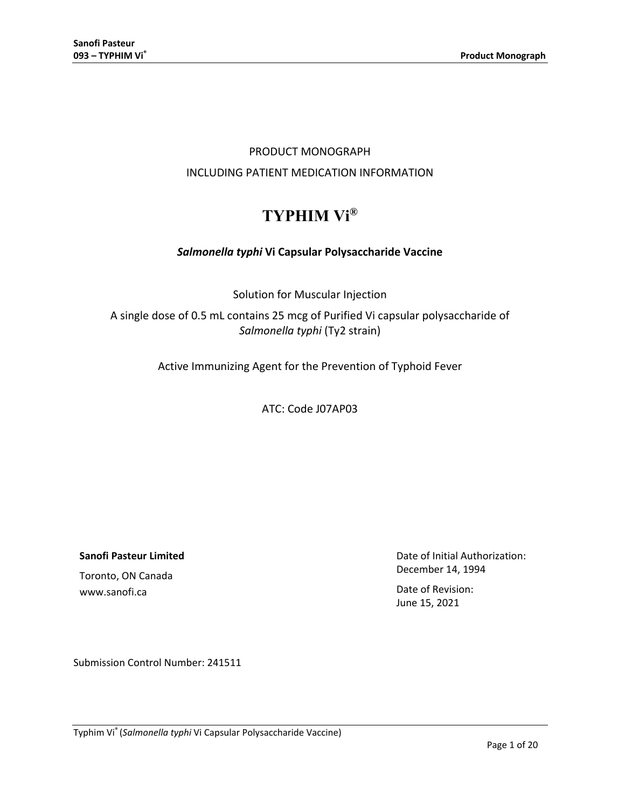# PRODUCT MONOGRAPH INCLUDING PATIENT MEDICATION INFORMATION

# **TYPHIM Vi®**

# *Salmonella typhi* **Vi Capsular Polysaccharide Vaccine**

Solution for Muscular Injection

A single dose of 0.5 mL contains 25 mcg of Purified Vi capsular polysaccharide of *Salmonella typhi* (Ty2 strain)

Active Immunizing Agent for the Prevention of Typhoid Fever

ATC: Code J07AP03

**Sanofi Pasteur Limited**

Toronto, ON Canada www.sanofi.ca

Date of Initial Authorization: December 14, 1994

Date of Revision: June 15, 2021

Submission Control Number: 241511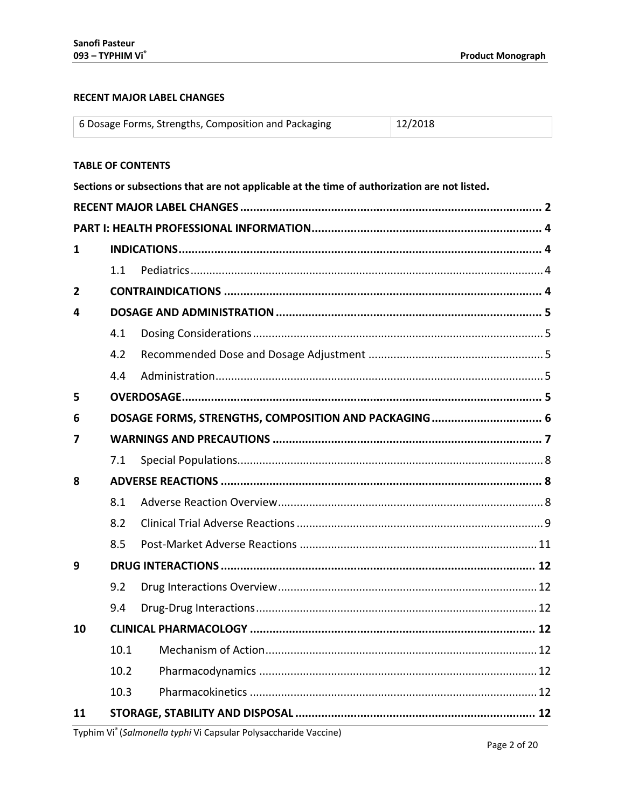# <span id="page-1-0"></span>**RECENT MAJOR LABEL CHANGES**

|    |                                                      | 6 Dosage Forms, Strengths, Composition and Packaging                                         | 12/2018 |  |
|----|------------------------------------------------------|----------------------------------------------------------------------------------------------|---------|--|
|    |                                                      | <b>TABLE OF CONTENTS</b>                                                                     |         |  |
|    |                                                      | Sections or subsections that are not applicable at the time of authorization are not listed. |         |  |
|    |                                                      |                                                                                              |         |  |
|    |                                                      |                                                                                              |         |  |
| 1  |                                                      |                                                                                              |         |  |
|    | 1.1                                                  |                                                                                              |         |  |
| 2  |                                                      |                                                                                              |         |  |
| 4  |                                                      |                                                                                              |         |  |
|    | 4.1                                                  |                                                                                              |         |  |
|    | 4.2                                                  |                                                                                              |         |  |
|    | 4.4                                                  |                                                                                              |         |  |
| 5  |                                                      |                                                                                              |         |  |
| 6  | DOSAGE FORMS, STRENGTHS, COMPOSITION AND PACKAGING 6 |                                                                                              |         |  |
| 7  |                                                      |                                                                                              |         |  |
|    | 7.1                                                  |                                                                                              |         |  |
| 8  |                                                      |                                                                                              |         |  |
|    | 8.1                                                  |                                                                                              |         |  |
|    | 8.2                                                  |                                                                                              |         |  |
|    | 8.5                                                  |                                                                                              |         |  |
| 9  |                                                      | DRUG INTERACTIONS …………………………………………………………………………………… 12                                        |         |  |
|    | 9.2                                                  |                                                                                              |         |  |
|    | 9.4                                                  |                                                                                              |         |  |
| 10 |                                                      |                                                                                              |         |  |
|    | 10.1                                                 |                                                                                              |         |  |
|    | 10.2                                                 |                                                                                              |         |  |
|    | 10.3                                                 |                                                                                              |         |  |
| 11 |                                                      |                                                                                              |         |  |

Typhim Vi® (Salmonella typhi Vi Capsular Polysaccharide Vaccine)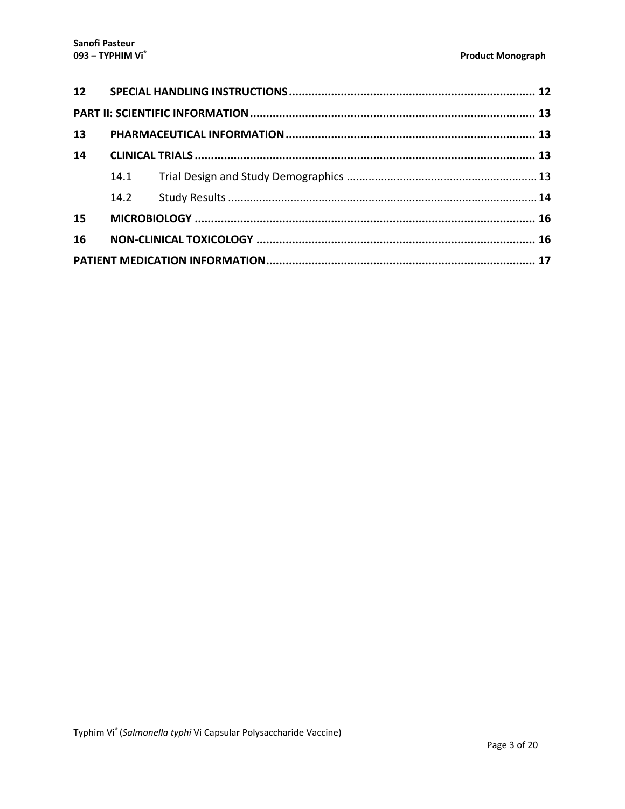| 13 |      |  |
|----|------|--|
| 14 |      |  |
|    |      |  |
|    | 14.2 |  |
| 15 |      |  |
| 16 |      |  |
|    |      |  |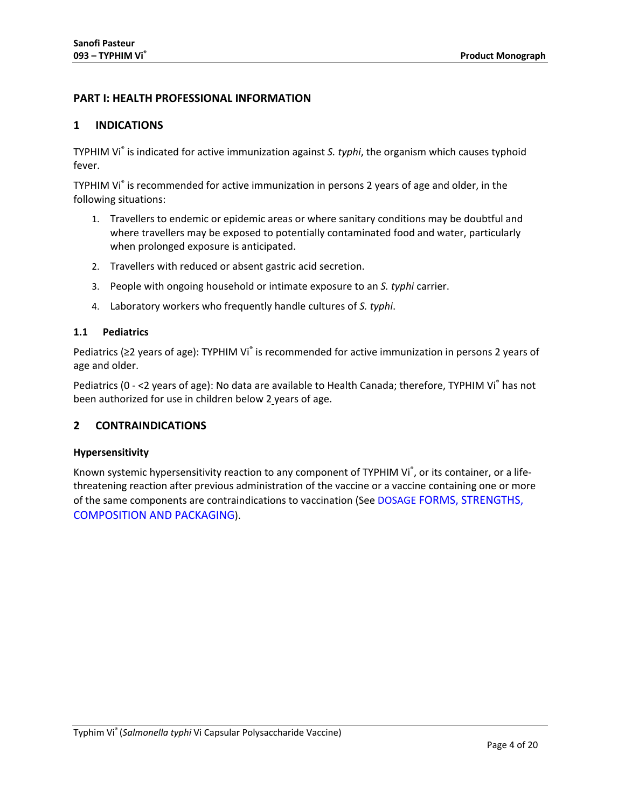# <span id="page-3-0"></span>**PART I: HEALTH PROFESSIONAL INFORMATION**

# <span id="page-3-1"></span>**1 INDICATIONS**

TYPHIM Vi® is indicated for active immunization against *S. typhi*, the organism which causes typhoid fever.

TYPHIM Vi® is recommended for active immunization in persons 2 years of age and older, in the following situations:

- 1. Travellers to endemic or epidemic areas or where sanitary conditions may be doubtful and where travellers may be exposed to potentially contaminated food and water, particularly when prolonged exposure is anticipated.
- 2. Travellers with reduced or absent gastric acid secretion.
- 3. People with ongoing household or intimate exposure to an *S. typhi* carrier.
- 4. Laboratory workers who frequently handle cultures of *S. typhi*.

## <span id="page-3-2"></span>**1.1 Pediatrics**

Pediatrics (≥2 years of age): TYPHIM Vi<sup>®</sup> is recommended for active immunization in persons 2 years of age and older.

Pediatrics (0 - <2 years of age): No data are available to Health Canada; therefore, TYPHIM Vi<sup>®</sup> has not been authorized for use in children below 2 years of age.

# <span id="page-3-3"></span>**2 CONTRAINDICATIONS**

# **Hypersensitivity**

Known systemic hypersensitivity reaction to any component of TYPHIM Vi®, or its container, or a lifethreatening reaction after previous administration of the vaccine or a vaccine containing one or more of the same components are contraindications to vaccination (See DOSAGE [FORMS, STRENGTHS,](#page-5-0)  [COMPOSITION AND PACKAGING\)](#page-5-0).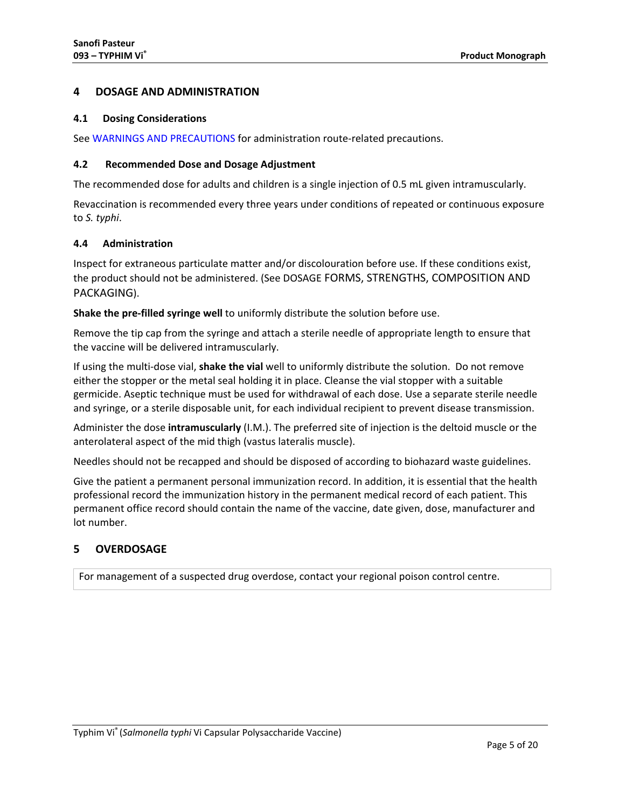# <span id="page-4-0"></span>**4 DOSAGE AND ADMINISTRATION**

#### <span id="page-4-1"></span>**4.1 Dosing Considerations**

See [WARNINGS AND PRECAUTIONS](#page-6-0) for administration route-related precautions.

## <span id="page-4-2"></span>**4.2 Recommended Dose and Dosage Adjustment**

The recommended dose for adults and children is a single injection of 0.5 mL given intramuscularly.

Revaccination is recommended every three years under conditions of repeated or continuous exposure to *S. typhi*.

# <span id="page-4-3"></span>**4.4 Administration**

Inspect for extraneous particulate matter and/or discolouration before use. If these conditions exist, the product should not be administered. (See DOSAGE [FORMS, STRENGTHS, COMPOSITION AND](#page-5-0)  [PACKAGING\)](#page-5-0).

**Shake the pre-filled syringe well** to uniformly distribute the solution before use.

Remove the tip cap from the syringe and attach a sterile needle of appropriate length to ensure that the vaccine will be delivered intramuscularly.

If using the multi-dose vial, **shake the vial** well to uniformly distribute the solution. Do not remove either the stopper or the metal seal holding it in place. Cleanse the vial stopper with a suitable germicide. Aseptic technique must be used for withdrawal of each dose. Use a separate sterile needle and syringe, or a sterile disposable unit, for each individual recipient to prevent disease transmission.

Administer the dose **intramuscularly** (I.M.). The preferred site of injection is the deltoid muscle or the anterolateral aspect of the mid thigh (vastus lateralis muscle).

Needles should not be recapped and should be disposed of according to biohazard waste guidelines.

Give the patient a permanent personal immunization record. In addition, it is essential that the health professional record the immunization history in the permanent medical record of each patient. This permanent office record should contain the name of the vaccine, date given, dose, manufacturer and lot number.

# <span id="page-4-4"></span>**5 OVERDOSAGE**

For management of a suspected drug overdose, contact your regional poison control centre.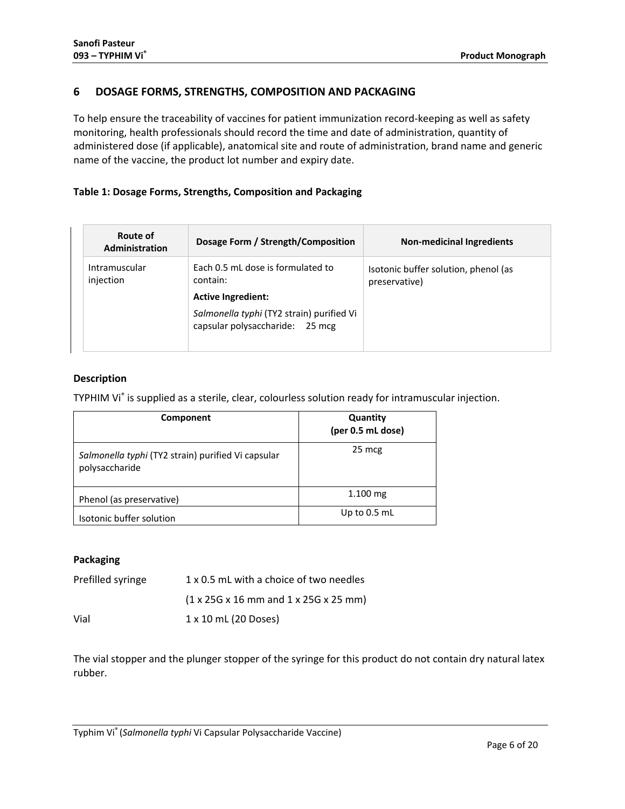# <span id="page-5-0"></span>**6 DOSAGE FORMS, STRENGTHS, COMPOSITION AND PACKAGING**

To help ensure the traceability of vaccines for patient immunization record-keeping as well as safety monitoring, health professionals should record the time and date of administration, quantity of administered dose (if applicable), anatomical site and route of administration, brand name and generic name of the vaccine, the product lot number and expiry date.

# **Table 1: Dosage Forms, Strengths, Composition and Packaging**

| Route of<br>Administration | Dosage Form / Strength/Composition                                           | <b>Non-medicinal Ingredients</b>                      |
|----------------------------|------------------------------------------------------------------------------|-------------------------------------------------------|
| Intramuscular<br>injection | Each 0.5 mL dose is formulated to<br>contain:                                | Isotonic buffer solution, phenol (as<br>preservative) |
|                            | <b>Active Ingredient:</b>                                                    |                                                       |
|                            | Salmonella typhi (TY2 strain) purified Vi<br>capsular polysaccharide: 25 mcg |                                                       |

# **Description**

TYPHIM Vi® is supplied as a sterile, clear, colourless solution ready for intramuscular injection.

| Component                                                            | Quantity<br>(per 0.5 mL dose) |  |
|----------------------------------------------------------------------|-------------------------------|--|
| Salmonella typhi (TY2 strain) purified Vi capsular<br>polysaccharide | 25 mcg                        |  |
| Phenol (as preservative)                                             | $1.100 \, \text{mg}$          |  |
| Isotonic buffer solution                                             | Up to $0.5$ mL                |  |

# **Packaging**

| Prefilled syringe | 1 x 0.5 mL with a choice of two needles                                       |
|-------------------|-------------------------------------------------------------------------------|
|                   | $(1 \times 25G \times 16 \text{ mm}$ and $1 \times 25G \times 25 \text{ mm})$ |
| Vial              | 1 x 10 mL (20 Doses)                                                          |

The vial stopper and the plunger stopper of the syringe for this product do not contain dry natural latex rubber.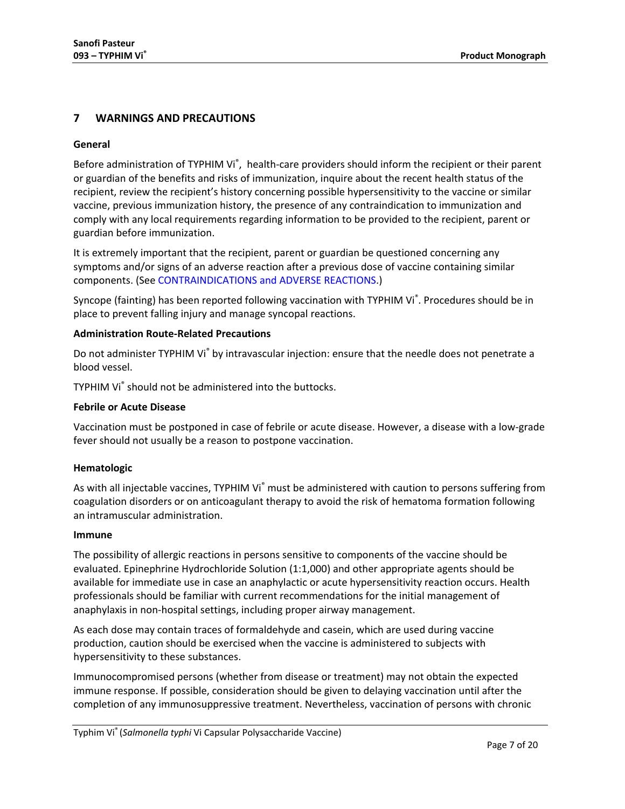# <span id="page-6-0"></span>**7 WARNINGS AND PRECAUTIONS**

## **General**

Before administration of TYPHIM Vi<sup>®</sup>, health-care providers should inform the recipient or their parent or guardian of the benefits and risks of immunization, inquire about the recent health status of the recipient, review the recipient's history concerning possible hypersensitivity to the vaccine or similar vaccine, previous immunization history, the presence of any contraindication to immunization and comply with any local requirements regarding information to be provided to the recipient, parent or guardian before immunization.

It is extremely important that the recipient, parent or guardian be questioned concerning any symptoms and/or signs of an adverse reaction after a previous dose of vaccine containing similar components. (See [CONTRAINDICATIONS](#page-3-3) and [ADVERSE REACTIONS.](#page-7-1))

Syncope (fainting) has been reported following vaccination with TYPHIM Vi®. Procedures should be in place to prevent falling injury and manage syncopal reactions.

## **Administration Route-Related Precautions**

Do not administer TYPHIM Vi<sup>®</sup> by intravascular injection: ensure that the needle does not penetrate a blood vessel.

TYPHIM Vi® should not be administered into the buttocks.

#### **Febrile or Acute Disease**

Vaccination must be postponed in case of febrile or acute disease. However, a disease with a low-grade fever should not usually be a reason to postpone vaccination.

#### **Hematologic**

As with all injectable vaccines, TYPHIM Vi<sup>®</sup> must be administered with caution to persons suffering from coagulation disorders or on anticoagulant therapy to avoid the risk of hematoma formation following an intramuscular administration.

#### **Immune**

The possibility of allergic reactions in persons sensitive to components of the vaccine should be evaluated. Epinephrine Hydrochloride Solution (1:1,000) and other appropriate agents should be available for immediate use in case an anaphylactic or acute hypersensitivity reaction occurs. Health professionals should be familiar with current recommendations for the initial management of anaphylaxis in non-hospital settings, including proper airway management.

As each dose may contain traces of formaldehyde and casein, which are used during vaccine production, caution should be exercised when the vaccine is administered to subjects with hypersensitivity to these substances.

Immunocompromised persons (whether from disease or treatment) may not obtain the expected immune response. If possible, consideration should be given to delaying vaccination until after the completion of any immunosuppressive treatment. Nevertheless, vaccination of persons with chronic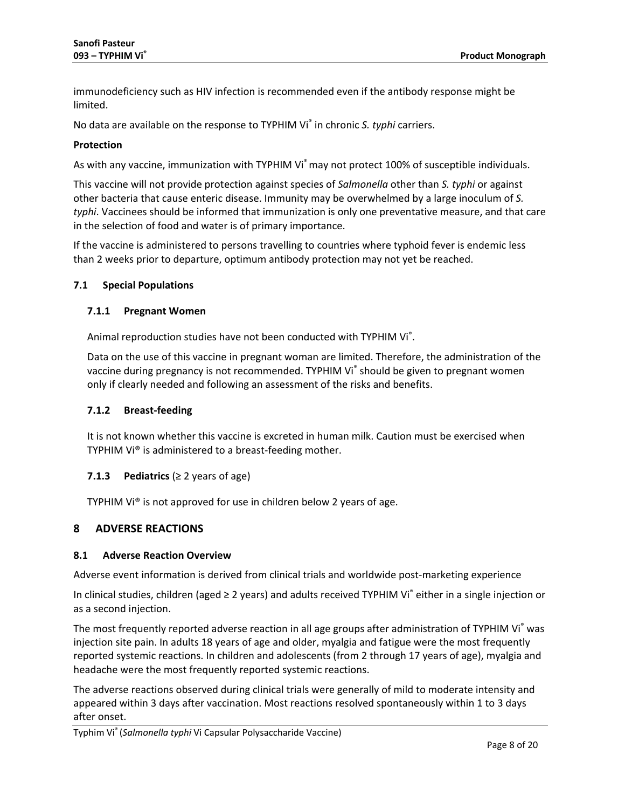immunodeficiency such as HIV infection is recommended even if the antibody response might be limited.

No data are available on the response to TYPHIM Vi® in chronic *S. typhi* carriers.

#### **Protection**

As with any vaccine, immunization with TYPHIM Vi<sup>®</sup> may not protect 100% of susceptible individuals.

This vaccine will not provide protection against species of *Salmonella* other than *S. typhi* or against other bacteria that cause enteric disease. Immunity may be overwhelmed by a large inoculum of *S. typhi*. Vaccinees should be informed that immunization is only one preventative measure, and that care in the selection of food and water is of primary importance.

If the vaccine is administered to persons travelling to countries where typhoid fever is endemic less than 2 weeks prior to departure, optimum antibody protection may not yet be reached.

## <span id="page-7-0"></span>**7.1 Special Populations**

#### **7.1.1 Pregnant Women**

Animal reproduction studies have not been conducted with TYPHIM Vi<sup>®</sup>.

Data on the use of this vaccine in pregnant woman are limited. Therefore, the administration of the vaccine during pregnancy is not recommended. TYPHIM Vi® should be given to pregnant women only if clearly needed and following an assessment of the risks and benefits.

#### **7.1.2 Breast-feeding**

It is not known whether this vaccine is excreted in human milk. Caution must be exercised when TYPHIM Vi® is administered to a breast-feeding mother.

#### **7.1.3 Pediatrics** (≥ 2 years of age)

TYPHIM Vi® is not approved for use in children below 2 years of age.

# <span id="page-7-1"></span>**8 ADVERSE REACTIONS**

#### <span id="page-7-2"></span>**8.1 Adverse Reaction Overview**

Adverse event information is derived from clinical trials and worldwide post-marketing experience

In clinical studies, children (aged ≥ 2 years) and adults received TYPHIM Vi® either in a single injection or as a second injection.

The most frequently reported adverse reaction in all age groups after administration of TYPHIM Vi® was injection site pain. In adults 18 years of age and older, myalgia and fatigue were the most frequently reported systemic reactions. In children and adolescents (from 2 through 17 years of age), myalgia and headache were the most frequently reported systemic reactions.

The adverse reactions observed during clinical trials were generally of mild to moderate intensity and appeared within 3 days after vaccination. Most reactions resolved spontaneously within 1 to 3 days after onset.

Typhim Vi® (*Salmonella typhi* Vi Capsular Polysaccharide Vaccine)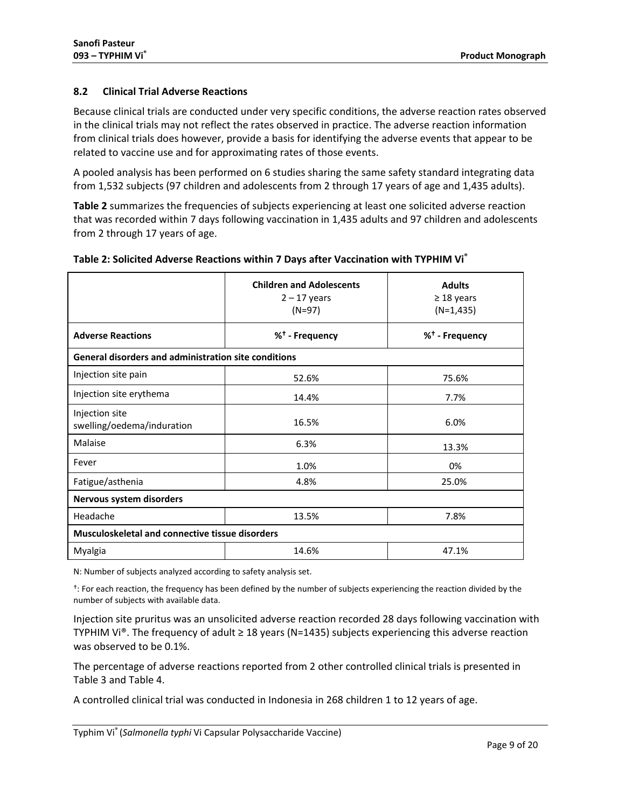# <span id="page-8-0"></span>**8.2 Clinical Trial Adverse Reactions**

Because clinical trials are conducted under very specific conditions, the adverse reaction rates observed in the clinical trials may not reflect the rates observed in practice. The adverse reaction information from clinical trials does however, provide a basis for identifying the adverse events that appear to be related to vaccine use and for approximating rates of those events.

A pooled analysis has been performed on 6 studies sharing the same safety standard integrating data from 1,532 subjects (97 children and adolescents from 2 through 17 years of age and 1,435 adults).

**[Table 2](#page-8-1)** summarizes the frequencies of subjects experiencing at least one solicited adverse reaction that was recorded within 7 days following vaccination in 1,435 adults and 97 children and adolescents from 2 through 17 years of age.

|                                                             | <b>Children and Adolescents</b><br>$2 - 17$ years<br>$(N=97)$ | <b>Adults</b><br>$\geq$ 18 years<br>$(N=1,435)$ |
|-------------------------------------------------------------|---------------------------------------------------------------|-------------------------------------------------|
| <b>Adverse Reactions</b>                                    | % <sup>†</sup> - Frequency                                    | % <sup>†</sup> - Frequency                      |
| <b>General disorders and administration site conditions</b> |                                                               |                                                 |
| Injection site pain                                         | 52.6%                                                         | 75.6%                                           |
| Injection site erythema                                     | 14.4%                                                         | 7.7%                                            |
| Injection site<br>swelling/oedema/induration                | 16.5%                                                         | 6.0%                                            |
| Malaise                                                     | 6.3%                                                          | 13.3%                                           |
| Fever                                                       | 1.0%                                                          | 0%                                              |
| Fatigue/asthenia                                            | 4.8%                                                          | 25.0%                                           |
| Nervous system disorders                                    |                                                               |                                                 |
| Headache                                                    | 13.5%                                                         | 7.8%                                            |
| <b>Musculoskeletal and connective tissue disorders</b>      |                                                               |                                                 |
| Myalgia                                                     | 14.6%                                                         | 47.1%                                           |

## <span id="page-8-1"></span>**Table 2: Solicited Adverse Reactions within 7 Days after Vaccination with TYPHIM Vi®**

N: Number of subjects analyzed according to safety analysis set.

<sup>t</sup>: For each reaction, the frequency has been defined by the number of subjects experiencing the reaction divided by the number of subjects with available data.

Injection site pruritus was an unsolicited adverse reaction recorded 28 days following vaccination with TYPHIM Vi®. The frequency of adult ≥ 18 years (N=1435) subjects experiencing this adverse reaction was observed to be 0.1%.

The percentage of adverse reactions reported from 2 other controlled clinical trials is presented in [Table 3](#page-9-0) and [Table 4.](#page-9-1)

A controlled clinical trial was conducted in Indonesia in 268 children 1 to 12 years of age.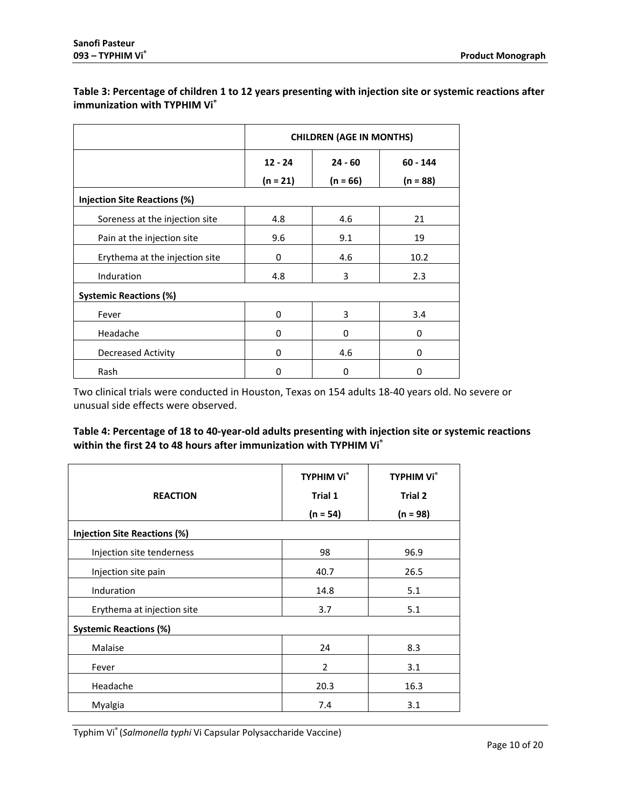# <span id="page-9-0"></span>**Table 3: Percentage of children 1 to 12 years presenting with injection site or systemic reactions after immunization with TYPHIM Vi®**

|                                | <b>CHILDREN (AGE IN MONTHS)</b> |            |            |
|--------------------------------|---------------------------------|------------|------------|
|                                | $12 - 24$<br>$24 - 60$          |            | $60 - 144$ |
|                                | $(n = 21)$                      | $(n = 66)$ | $(n = 88)$ |
| Injection Site Reactions (%)   |                                 |            |            |
| Soreness at the injection site | 4.8                             | 4.6        | 21         |
| Pain at the injection site     | 9.6                             | 9.1        | 19         |
| Erythema at the injection site | 0                               | 4.6        | 10.2       |
| Induration                     | 4.8                             | 3          | 2.3        |
| <b>Systemic Reactions (%)</b>  |                                 |            |            |
| Fever                          | 0                               | 3          | 3.4        |
| Headache                       | 0                               | 0          | 0          |
| <b>Decreased Activity</b>      | 0                               | 4.6        | 0          |
| Rash                           | 0                               | 0          | 0          |

Two clinical trials were conducted in Houston, Texas on 154 adults 18-40 years old. No severe or unusual side effects were observed.

# <span id="page-9-1"></span>**Table 4: Percentage of 18 to 40-year-old adults presenting with injection site or systemic reactions**  within the first 24 to 48 hours after immunization with TYPHIM Vi<sup>®</sup>

|                                     | <b>TYPHIM Vi</b> <sup>®</sup> | <b>TYPHIM Vi</b> <sup>®</sup> |
|-------------------------------------|-------------------------------|-------------------------------|
| <b>REACTION</b>                     | Trial 1                       | Trial 2                       |
|                                     | $(n = 54)$                    | $(n = 98)$                    |
| <b>Injection Site Reactions (%)</b> |                               |                               |
| Injection site tenderness           | 98                            | 96.9                          |
| Injection site pain                 | 40.7                          | 26.5                          |
| Induration                          | 14.8                          | 5.1                           |
| Erythema at injection site          | 3.7                           | 5.1                           |
| <b>Systemic Reactions (%)</b>       |                               |                               |
| Malaise                             | 24                            | 8.3                           |
| Fever                               | $\overline{2}$                | 3.1                           |
| Headache                            | 20.3                          | 16.3                          |
| Myalgia                             | 7.4                           | 3.1                           |

Typhim Vi® (*Salmonella typhi* Vi Capsular Polysaccharide Vaccine)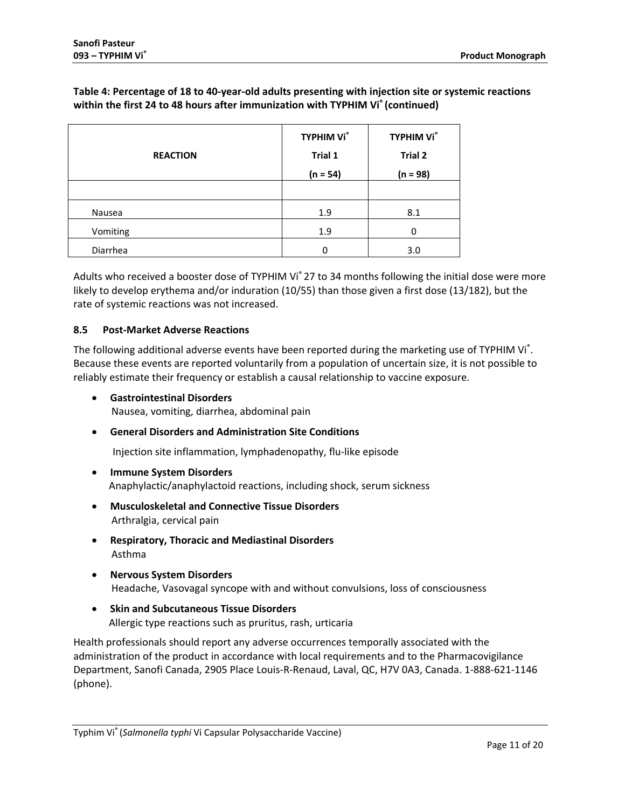# **Table 4: Percentage of 18 to 40-year-old adults presenting with injection site or systemic reactions within the first 24 to 48 hours after immunization with TYPHIM Vi® (continued)**

| <b>REACTION</b> | <b>TYPHIM Vi</b> <sup>®</sup><br>Trial 1<br>$(n = 54)$ | <b>TYPHIM Vi</b> <sup>®</sup><br><b>Trial 2</b><br>$(n = 98)$ |
|-----------------|--------------------------------------------------------|---------------------------------------------------------------|
|                 |                                                        |                                                               |
| Nausea          | 1.9                                                    | 8.1                                                           |
| Vomiting        | 1.9                                                    | 0                                                             |
| Diarrhea        | ი                                                      | 3.0                                                           |

Adults who received a booster dose of TYPHIM Vi<sup>®</sup> 27 to 34 months following the initial dose were more likely to develop erythema and/or induration (10/55) than those given a first dose (13/182), but the rate of systemic reactions was not increased.

# <span id="page-10-0"></span>**8.5 Post-Market Adverse Reactions**

The following additional adverse events have been reported during the marketing use of TYPHIM Vi<sup>®</sup>. Because these events are reported voluntarily from a population of uncertain size, it is not possible to reliably estimate their frequency or establish a causal relationship to vaccine exposure.

• **Gastrointestinal Disorders**

Nausea, vomiting, diarrhea, abdominal pain

• **General Disorders and Administration Site Conditions**

Injection site inflammation, lymphadenopathy, flu-like episode

- **Immune System Disorders**  Anaphylactic/anaphylactoid reactions, including shock, serum sickness
- **Musculoskeletal and Connective Tissue Disorders** Arthralgia, cervical pain
- **Respiratory, Thoracic and Mediastinal Disorders**  Asthma
- **Nervous System Disorders** Headache, Vasovagal syncope with and without convulsions, loss of consciousness
- **Skin and Subcutaneous Tissue Disorders** Allergic type reactions such as pruritus, rash, urticaria

Health professionals should report any adverse occurrences temporally associated with the administration of the product in accordance with local requirements and to the Pharmacovigilance Department, Sanofi Canada, 2905 Place Louis-R-Renaud, Laval, QC, H7V 0A3, Canada. 1-888-621-1146 (phone).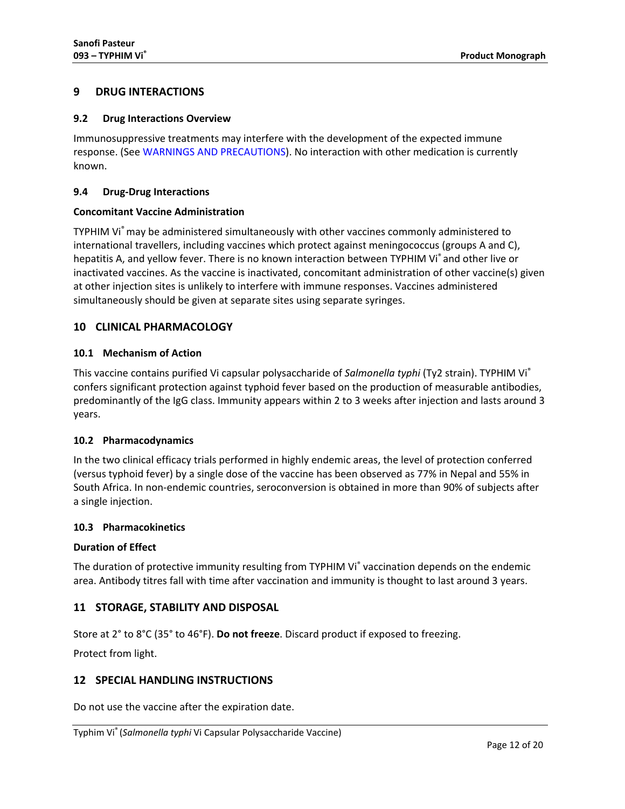# <span id="page-11-0"></span>**9 DRUG INTERACTIONS**

#### <span id="page-11-1"></span>**9.2 Drug Interactions Overview**

Immunosuppressive treatments may interfere with the development of the expected immune response. (See WARNINGS AND PRECAUTIONS). No interaction with other medication is currently known.

## <span id="page-11-2"></span>**9.4 Drug-Drug Interactions**

## **Concomitant Vaccine Administration**

TYPHIM Vi® may be administered simultaneously with other vaccines commonly administered to international travellers, including vaccines which protect against meningococcus (groups A and C), hepatitis A, and yellow fever. There is no known interaction between TYPHIM Vi<sup>®</sup> and other live or inactivated vaccines. As the vaccine is inactivated, concomitant administration of other vaccine(s) given at other injection sites is unlikely to interfere with immune responses. Vaccines administered simultaneously should be given at separate sites using separate syringes.

# <span id="page-11-3"></span>**10 CLINICAL PHARMACOLOGY**

## <span id="page-11-4"></span>**10.1 Mechanism of Action**

This vaccine contains purified Vi capsular polysaccharide of *Salmonella typhi* (Ty2 strain). TYPHIM Vi® confers significant protection against typhoid fever based on the production of measurable antibodies, predominantly of the IgG class. Immunity appears within 2 to 3 weeks after injection and lasts around 3 years.

#### <span id="page-11-5"></span>**10.2 Pharmacodynamics**

In the two clinical efficacy trials performed in highly endemic areas, the level of protection conferred (versus typhoid fever) by a single dose of the vaccine has been observed as 77% in Nepal and 55% in South Africa. In non-endemic countries, seroconversion is obtained in more than 90% of subjects after a single injection.

#### <span id="page-11-6"></span>**10.3 Pharmacokinetics**

#### **Duration of Effect**

The duration of protective immunity resulting from TYPHIM Vi® vaccination depends on the endemic area. Antibody titres fall with time after vaccination and immunity is thought to last around 3 years.

# <span id="page-11-7"></span>**11 STORAGE, STABILITY AND DISPOSAL**

Store at 2° to 8°C (35° to 46°F). **Do not freeze**. Discard product if exposed to freezing.

Protect from light.

# <span id="page-11-8"></span>**12 SPECIAL HANDLING INSTRUCTIONS**

Do not use the vaccine after the expiration date.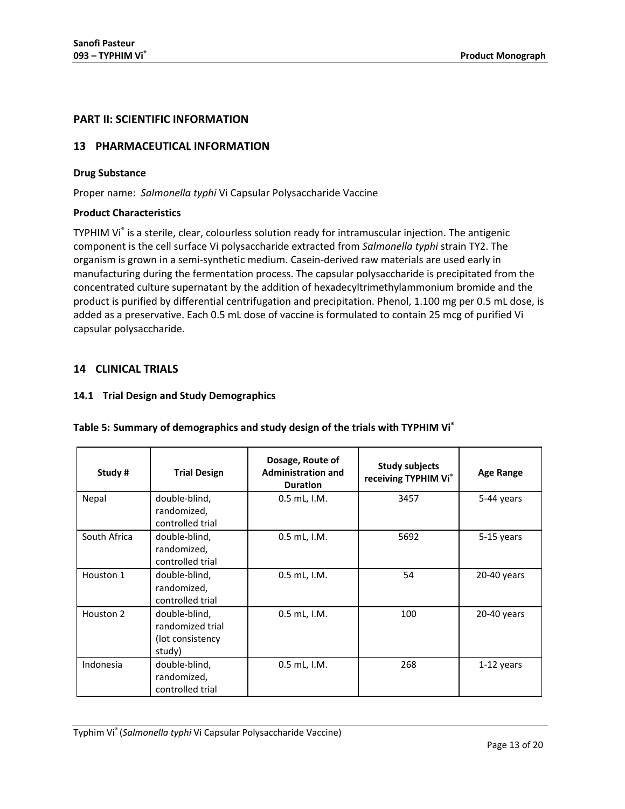# <span id="page-12-0"></span>**PART II: SCIENTIFIC INFORMATION**

# <span id="page-12-1"></span>**13 PHARMACEUTICAL INFORMATION**

## **Drug Substance**

Proper name: *Salmonella typhi* Vi Capsular Polysaccharide Vaccine

## **Product Characteristics**

TYPHIM Vi® is a sterile, clear, colourless solution ready for intramuscular injection. The antigenic component is the cell surface Vi polysaccharide extracted from *Salmonella typhi* strain TY2. The organism is grown in a semi-synthetic medium. Casein-derived raw materials are used early in manufacturing during the fermentation process. The capsular polysaccharide is precipitated from the concentrated culture supernatant by the addition of hexadecyltrimethylammonium bromide and the product is purified by differential centrifugation and precipitation. Phenol, 1.100 mg per 0.5 mL dose, is added as a preservative. Each 0.5 mL dose of vaccine is formulated to contain 25 mcg of purified Vi capsular polysaccharide.

# <span id="page-12-2"></span>**14 CLINICAL TRIALS**

## <span id="page-12-3"></span>**14.1 Trial Design and Study Demographics**

| Study#       | <b>Trial Design</b>                                              | Dosage, Route of<br><b>Administration and</b><br><b>Duration</b> | <b>Study subjects</b><br>receiving TYPHIM Vi® | <b>Age Range</b> |
|--------------|------------------------------------------------------------------|------------------------------------------------------------------|-----------------------------------------------|------------------|
| Nepal        | double-blind,<br>randomized,<br>controlled trial                 | $0.5$ mL, I.M.                                                   | 3457                                          | 5-44 years       |
| South Africa | double-blind,<br>randomized,<br>controlled trial                 | 0.5 mL, I.M.                                                     | 5692                                          | 5-15 years       |
| Houston 1    | double-blind,<br>randomized,<br>controlled trial                 | $0.5$ mL, $1.M.$                                                 | 54                                            | 20-40 years      |
| Houston 2    | double-blind,<br>randomized trial<br>(lot consistency)<br>study) | $0.5$ mL, I.M.                                                   | 100                                           | 20-40 years      |
| Indonesia    | double-blind,<br>randomized,<br>controlled trial                 | 0.5 mL, I.M.                                                     | 268                                           | $1-12$ years     |

# **Table 5: Summary of demographics and study design of the trials with TYPHIM Vi®**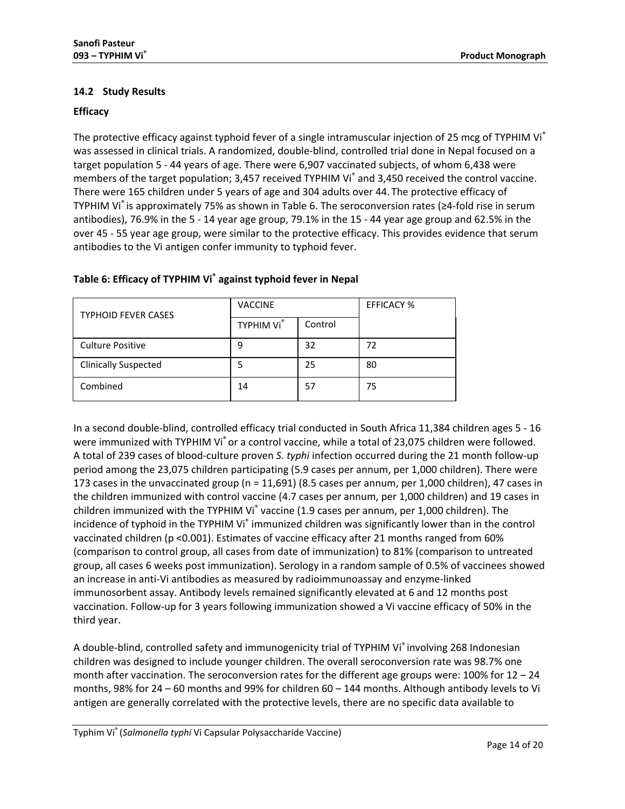# <span id="page-13-0"></span>**14.2 Study Results**

# **Efficacy**

The protective efficacy against typhoid fever of a single intramuscular injection of 25 mcg of TYPHIM Vi<sup>®</sup> was assessed in clinical trials. A randomized, double-blind, controlled trial done in Nepal focused on a target population 5 - 44 years of age. There were 6,907 vaccinated subjects, of whom 6,438 were members of the target population; 3,457 received TYPHIM Vi® and 3,450 received the control vaccine. There were 165 children under 5 years of age and 304 adults over 44. The protective efficacy of TYPHIM Vi $\degree$  is approximately 75% as shown in [Table 6.](#page-13-1) The seroconversion rates ( $\geq 4$ -fold rise in serum antibodies), 76.9% in the 5 - 14 year age group, 79.1% in the 15 - 44 year age group and 62.5% in the over 45 - 55 year age group, were similar to the protective efficacy. This provides evidence that serum antibodies to the Vi antigen confer immunity to typhoid fever.

| <b>TYPHOID FEVER CASES</b>  | <b>VACCINE</b> |         | <b>EFFICACY %</b> |
|-----------------------------|----------------|---------|-------------------|
|                             | TYPHIM Vi®     | Control |                   |
| <b>Culture Positive</b>     | 9              | 32      | 72                |
| <b>Clinically Suspected</b> | 5              | 25      | 80                |
| Combined                    | 14             | 57      | 75                |

# <span id="page-13-1"></span>**Table 6: Efficacy of TYPHIM Vi® against typhoid fever in Nepal**

In a second double-blind, controlled efficacy trial conducted in South Africa 11,384 children ages 5 - 16 were immunized with TYPHIM Vi<sup>®</sup> or a control vaccine, while a total of 23,075 children were followed. A total of 239 cases of blood-culture proven *S. typhi* infection occurred during the 21 month follow-up period among the 23,075 children participating (5.9 cases per annum, per 1,000 children). There were 173 cases in the unvaccinated group (n = 11,691) (8.5 cases per annum, per 1,000 children), 47 cases in the children immunized with control vaccine (4.7 cases per annum, per 1,000 children) and 19 cases in children immunized with the TYPHIM Vi<sup>®</sup> vaccine (1.9 cases per annum, per 1,000 children). The incidence of typhoid in the TYPHIM Vi<sup>®</sup> immunized children was significantly lower than in the control vaccinated children (p <0.001). Estimates of vaccine efficacy after 21 months ranged from 60% (comparison to control group, all cases from date of immunization) to 81% (comparison to untreated group, all cases 6 weeks post immunization). Serology in a random sample of 0.5% of vaccinees showed an increase in anti-Vi antibodies as measured by radioimmunoassay and enzyme-linked immunosorbent assay. Antibody levels remained significantly elevated at 6 and 12 months post vaccination. Follow-up for 3 years following immunization showed a Vi vaccine efficacy of 50% in the third year.

A double-blind, controlled safety and immunogenicity trial of TYPHIM Vi® involving 268 Indonesian children was designed to include younger children. The overall seroconversion rate was 98.7% one month after vaccination. The seroconversion rates for the different age groups were: 100% for 12 – 24 months, 98% for 24 – 60 months and 99% for children 60 – 144 months. Although antibody levels to Vi antigen are generally correlated with the protective levels, there are no specific data available to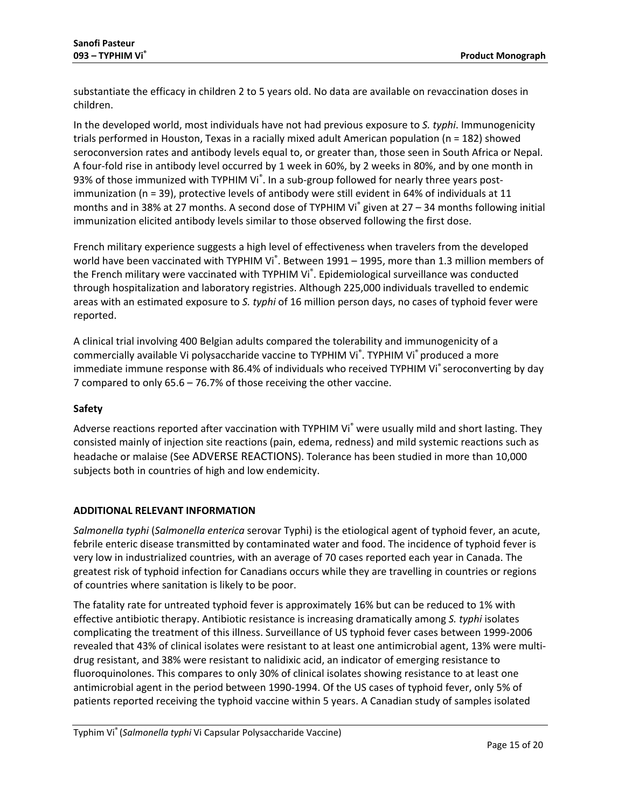substantiate the efficacy in children 2 to 5 years old. No data are available on revaccination doses in children.

In the developed world, most individuals have not had previous exposure to *S. typhi*. Immunogenicity trials performed in Houston, Texas in a racially mixed adult American population (n = 182) showed seroconversion rates and antibody levels equal to, or greater than, those seen in South Africa or Nepal. A four-fold rise in antibody level occurred by 1 week in 60%, by 2 weeks in 80%, and by one month in 93% of those immunized with TYPHIM Vi<sup>®</sup>. In a sub-group followed for nearly three years postimmunization (n = 39), protective levels of antibody were still evident in 64% of individuals at 11 months and in 38% at 27 months. A second dose of TYPHIM Vi<sup>®</sup> given at 27 – 34 months following initial immunization elicited antibody levels similar to those observed following the first dose.

French military experience suggests a high level of effectiveness when travelers from the developed world have been vaccinated with TYPHIM Vi<sup>®</sup>. Between 1991 – 1995, more than 1.3 million members of the French military were vaccinated with TYPHIM Vi®. Epidemiological surveillance was conducted through hospitalization and laboratory registries. Although 225,000 individuals travelled to endemic areas with an estimated exposure to *S. typhi* of 16 million person days, no cases of typhoid fever were reported.

A clinical trial involving 400 Belgian adults compared the tolerability and immunogenicity of a commercially available Vi polysaccharide vaccine to TYPHIM Vi<sup>®</sup>. TYPHIM Vi<sup>®</sup> produced a more immediate immune response with 86.4% of individuals who received TYPHIM Vi® seroconverting by day 7 compared to only 65.6 – 76.7% of those receiving the other vaccine.

# **Safety**

Adverse reactions reported after vaccination with TYPHIM Vi<sup>®</sup> were usually mild and short lasting. They consisted mainly of injection site reactions (pain, edema, redness) and mild systemic reactions such as headache or malaise (Se[e ADVERSE REACTIONS\)](#page-7-1). Tolerance has been studied in more than 10,000 subjects both in countries of high and low endemicity.

# **ADDITIONAL RELEVANT INFORMATION**

*Salmonella typhi* (*Salmonella enterica* serovar Typhi) is the etiological agent of typhoid fever, an acute, febrile enteric disease transmitted by contaminated water and food. The incidence of typhoid fever is very low in industrialized countries, with an average of 70 cases reported each year in Canada. The greatest risk of typhoid infection for Canadians occurs while they are travelling in countries or regions of countries where sanitation is likely to be poor.

The fatality rate for untreated typhoid fever is approximately 16% but can be reduced to 1% with effective antibiotic therapy. Antibiotic resistance is increasing dramatically among *S. typhi* isolates complicating the treatment of this illness. Surveillance of US typhoid fever cases between 1999-2006 revealed that 43% of clinical isolates were resistant to at least one antimicrobial agent, 13% were multidrug resistant, and 38% were resistant to nalidixic acid, an indicator of emerging resistance to fluoroquinolones. This compares to only 30% of clinical isolates showing resistance to at least one antimicrobial agent in the period between 1990-1994. Of the US cases of typhoid fever, only 5% of patients reported receiving the typhoid vaccine within 5 years. A Canadian study of samples isolated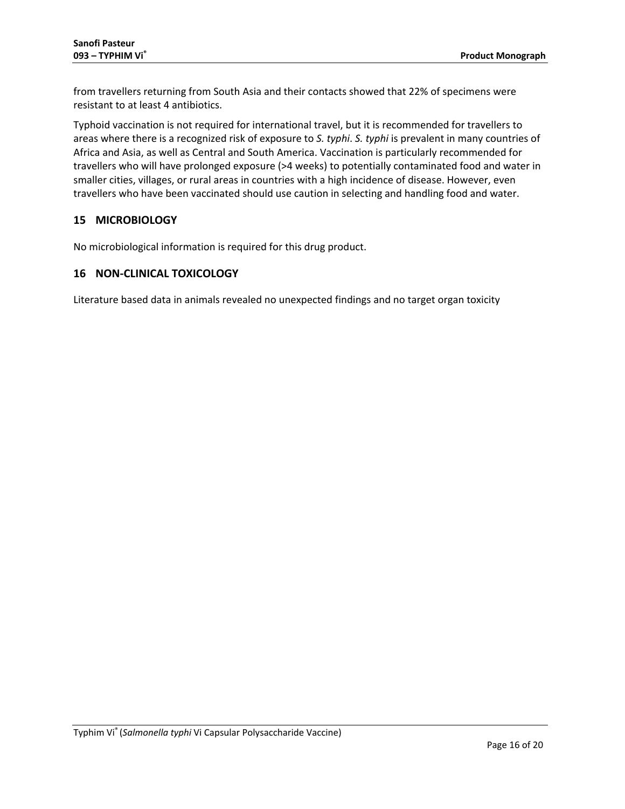from travellers returning from South Asia and their contacts showed that 22% of specimens were resistant to at least 4 antibiotics.

Typhoid vaccination is not required for international travel, but it is recommended for travellers to areas where there is a recognized risk of exposure to *S. typhi*. *S. typhi* is prevalent in many countries of Africa and Asia, as well as Central and South America. Vaccination is particularly recommended for travellers who will have prolonged exposure (>4 weeks) to potentially contaminated food and water in smaller cities, villages, or rural areas in countries with a high incidence of disease. However, even travellers who have been vaccinated should use caution in selecting and handling food and water.

# <span id="page-15-0"></span>**15 MICROBIOLOGY**

No microbiological information is required for this drug product.

# <span id="page-15-1"></span>**16 NON-CLINICAL TOXICOLOGY**

Literature based data in animals revealed no unexpected findings and no target organ toxicity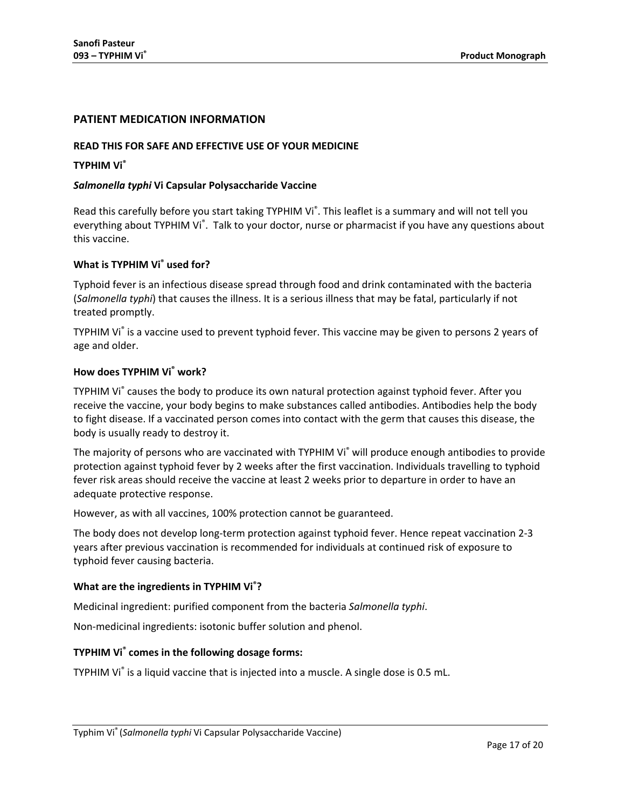# <span id="page-16-0"></span>**PATIENT MEDICATION INFORMATION**

#### **READ THIS FOR SAFE AND EFFECTIVE USE OF YOUR MEDICINE**

#### **TYPHIM Vi®**

#### *Salmonella typhi* **Vi Capsular Polysaccharide Vaccine**

Read this carefully before you start taking TYPHIM Vi<sup>®</sup>. This leaflet is a summary and will not tell you everything about TYPHIM Vi<sup>®</sup>. Talk to your doctor, nurse or pharmacist if you have any questions about this vaccine.

## **What is TYPHIM Vi® used for?**

Typhoid fever is an infectious disease spread through food and drink contaminated with the bacteria (*Salmonella typhi*) that causes the illness. It is a serious illness that may be fatal, particularly if not treated promptly.

TYPHIM Vi® is a vaccine used to prevent typhoid fever. This vaccine may be given to persons 2 years of age and older.

#### **How does TYPHIM Vi® work?**

TYPHIM Vi<sup>®</sup> causes the body to produce its own natural protection against typhoid fever. After you receive the vaccine, your body begins to make substances called antibodies. Antibodies help the body to fight disease. If a vaccinated person comes into contact with the germ that causes this disease, the body is usually ready to destroy it.

The majority of persons who are vaccinated with TYPHIM Vi<sup>®</sup> will produce enough antibodies to provide protection against typhoid fever by 2 weeks after the first vaccination. Individuals travelling to typhoid fever risk areas should receive the vaccine at least 2 weeks prior to departure in order to have an adequate protective response.

However, as with all vaccines, 100% protection cannot be guaranteed.

The body does not develop long-term protection against typhoid fever. Hence repeat vaccination 2-3 years after previous vaccination is recommended for individuals at continued risk of exposure to typhoid fever causing bacteria.

# **What are the ingredients in TYPHIM Vi® ?**

Medicinal ingredient: purified component from the bacteria *Salmonella typhi*.

Non-medicinal ingredients: isotonic buffer solution and phenol.

#### **TYPHIM Vi® comes in the following dosage forms:**

TYPHIM Vi<sup>®</sup> is a liquid vaccine that is injected into a muscle. A single dose is 0.5 mL.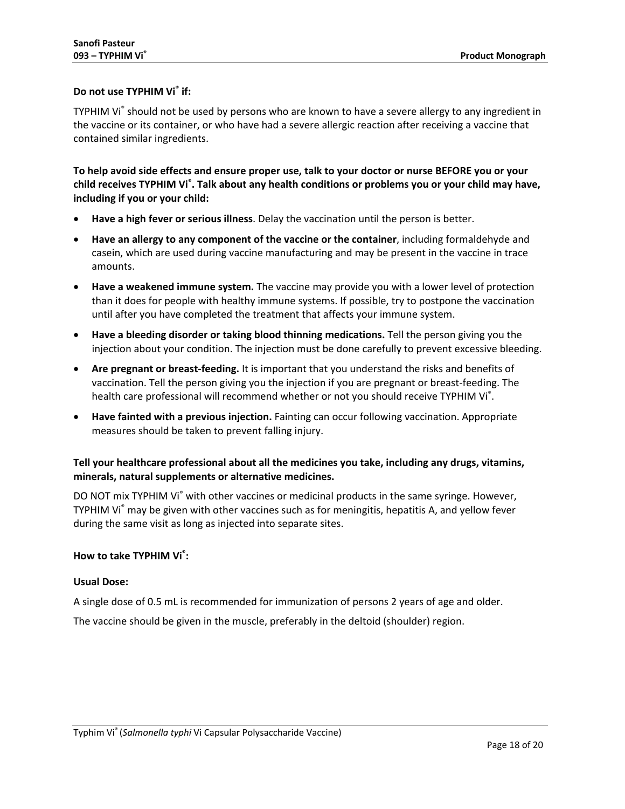# **Do not use TYPHIM Vi ® if:**

TYPHIM Vi® should not be used by persons who are known to have a severe allergy to any ingredient in the vaccine or its container, or who have had a severe allergic reaction after receiving a vaccine that contained similar ingredients.

**To help avoid side effects and ensure proper use, talk to your doctor or nurse BEFORE you or your child receives TYPHIM Vi® . Talk about any health conditions or problems you or your child may have, including if you or your child:**

- **Have a high fever or serious illness**. Delay the vaccination until the person is better.
- **Have an allergy to any component of the vaccine or the container**, including formaldehyde and casein, which are used during vaccine manufacturing and may be present in the vaccine in trace amounts.
- **Have a weakened immune system.** The vaccine may provide you with a lower level of protection than it does for people with healthy immune systems. If possible, try to postpone the vaccination until after you have completed the treatment that affects your immune system.
- **Have a bleeding disorder or taking blood thinning medications.** Tell the person giving you the injection about your condition. The injection must be done carefully to prevent excessive bleeding.
- **Are pregnant or breast-feeding.** It is important that you understand the risks and benefits of vaccination. Tell the person giving you the injection if you are pregnant or breast-feeding. The health care professional will recommend whether or not you should receive TYPHIM Vi<sup>®</sup>.
- **Have fainted with a previous injection.** Fainting can occur following vaccination. Appropriate measures should be taken to prevent falling injury.

# **Tell your healthcare professional about all the medicines you take, including any drugs, vitamins, minerals, natural supplements or alternative medicines.**

DO NOT mix TYPHIM Vi<sup>®</sup> with other vaccines or medicinal products in the same syringe. However, TYPHIM Vi® may be given with other vaccines such as for meningitis, hepatitis A, and yellow fever during the same visit as long as injected into separate sites.

# **How to take TYPHIM Vi® :**

#### **Usual Dose:**

A single dose of 0.5 mL is recommended for immunization of persons 2 years of age and older.

The vaccine should be given in the muscle, preferably in the deltoid (shoulder) region.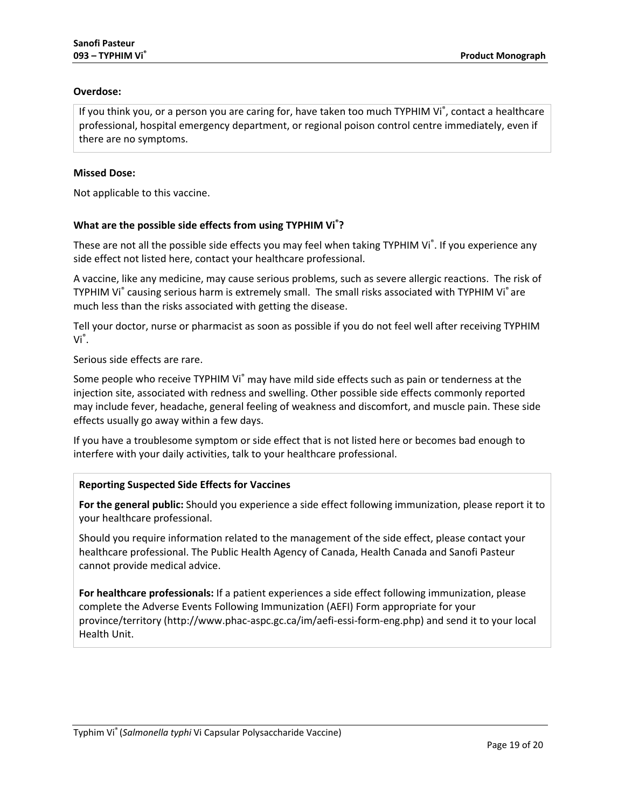# **Overdose:**

If you think you, or a person you are caring for, have taken too much TYPHIM Vi®, contact a healthcare professional, hospital emergency department, or regional poison control centre immediately, even if there are no symptoms.

## **Missed Dose:**

Not applicable to this vaccine.

# **What are the possible side effects from using TYPHIM Vi® ?**

These are not all the possible side effects you may feel when taking TYPHIM Vi<sup>®</sup>. If you experience any side effect not listed here, contact your healthcare professional.

A vaccine, like any medicine, may cause serious problems, such as severe allergic reactions. The risk of TYPHIM Vi<sup>®</sup> causing serious harm is extremely small. The small risks associated with TYPHIM Vi<sup>®</sup> are much less than the risks associated with getting the disease.

Tell your doctor, nurse or pharmacist as soon as possible if you do not feel well after receiving TYPHIM Vi® .

Serious side effects are rare.

Some people who receive TYPHIM Vi<sup>®</sup> may have mild side effects such as pain or tenderness at the injection site, associated with redness and swelling. Other possible side effects commonly reported may include fever, headache, general feeling of weakness and discomfort, and muscle pain. These side effects usually go away within a few days.

If you have a troublesome symptom or side effect that is not listed here or becomes bad enough to interfere with your daily activities, talk to your healthcare professional.

# **Reporting Suspected Side Effects for Vaccines**

**For the general public:** Should you experience a side effect following immunization, please report it to your healthcare professional.

Should you require information related to the management of the side effect, please contact your healthcare professional. The Public Health Agency of Canada, Health Canada and Sanofi Pasteur cannot provide medical advice.

**For healthcare professionals:** If a patient experiences a side effect following immunization, please complete the Adverse Events Following Immunization (AEFI) Form appropriate for your province/territory (http://www.phac-aspc.gc.ca/im/aefi-essi-form-eng.php) and send it to your local Health Unit.